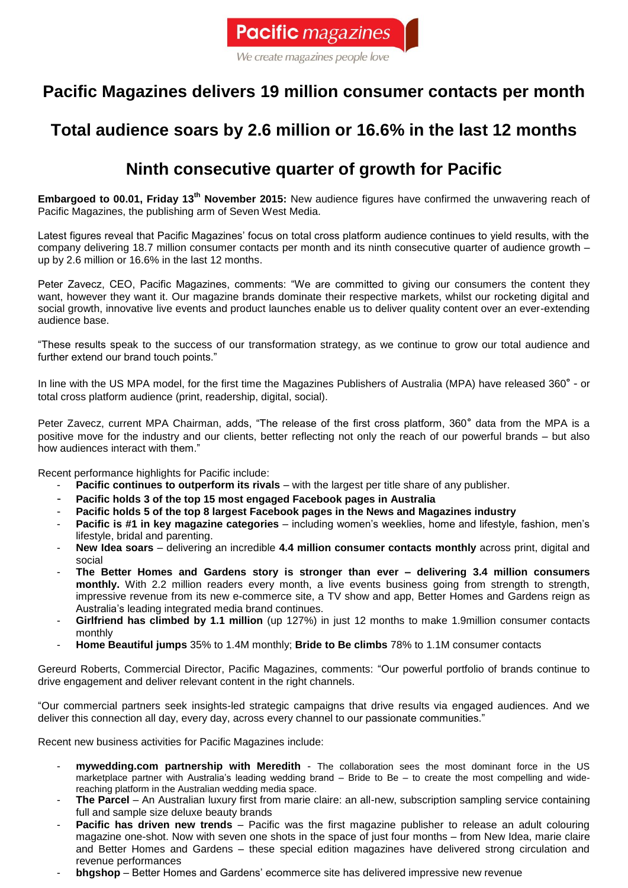

We create magazines people love

## **Pacific Magazines delivers 19 million consumer contacts per month**

## **Total audience soars by 2.6 million or 16.6% in the last 12 months**

## **Ninth consecutive quarter of growth for Pacific**

**Embargoed to 00.01, Friday 13th November 2015:** New audience figures have confirmed the unwavering reach of Pacific Magazines, the publishing arm of Seven West Media.

Latest figures reveal that Pacific Magazines' focus on total cross platform audience continues to yield results, with the company delivering 18.7 million consumer contacts per month and its ninth consecutive quarter of audience growth – up by 2.6 million or 16.6% in the last 12 months.

Peter Zavecz, CEO, Pacific Magazines, comments: "We are committed to giving our consumers the content they want, however they want it. Our magazine brands dominate their respective markets, whilst our rocketing digital and social growth, innovative live events and product launches enable us to deliver quality content over an ever-extending audience base.

"These results speak to the success of our transformation strategy, as we continue to grow our total audience and further extend our brand touch points."

In line with the US MPA model, for the first time the Magazines Publishers of Australia (MPA) have released 360° - or total cross platform audience (print, readership, digital, social).

Peter Zavecz, current MPA Chairman, adds, "The release of the first cross platform, 360° data from the MPA is a positive move for the industry and our clients, better reflecting not only the reach of our powerful brands – but also how audiences interact with them."

Recent performance highlights for Pacific include:

- **Pacific continues to outperform its rivals** with the largest per title share of any publisher.
- **Pacific holds 3 of the top 15 most engaged Facebook pages in Australia**
- **Pacific holds 5 of the top 8 largest Facebook pages in the News and Magazines industry**
- **Pacific is #1 in key magazine categories**  including women's weeklies, home and lifestyle, fashion, men's lifestyle, bridal and parenting.
- **New Idea soars** delivering an incredible **4.4 million consumer contacts monthly** across print, digital and social
- **The Better Homes and Gardens story is stronger than ever – delivering 3.4 million consumers monthly.** With 2.2 million readers every month, a live events business going from strength to strength, impressive revenue from its new e-commerce site, a TV show and app, Better Homes and Gardens reign as Australia's leading integrated media brand continues.
- **Girlfriend has climbed by 1.1 million** (up 127%) in just 12 months to make 1.9million consumer contacts monthly
- **Home Beautiful jumps** 35% to 1.4M monthly; **Bride to Be climbs** 78% to 1.1M consumer contacts

Gereurd Roberts, Commercial Director, Pacific Magazines, comments: "Our powerful portfolio of brands continue to drive engagement and deliver relevant content in the right channels.

"Our commercial partners seek insights-led strategic campaigns that drive results via engaged audiences. And we deliver this connection all day, every day, across every channel to our passionate communities."

Recent new business activities for Pacific Magazines include:

- **mywedding.com partnership with Meredith** The collaboration sees the most dominant force in the US marketplace partner with Australia's leading wedding brand – Bride to Be – to create the most compelling and widereaching platform in the Australian wedding media space.
- The Parcel An Australian luxury first from marie claire: an all-new, subscription sampling service containing full and sample size deluxe beauty brands
- **Pacific has driven new trends** Pacific was the first magazine publisher to release an adult colouring magazine one-shot. Now with seven one shots in the space of just four months – from New Idea, marie claire and Better Homes and Gardens – these special edition magazines have delivered strong circulation and revenue performances
- **bhgshop** Better Homes and Gardens' ecommerce site has delivered impressive new revenue